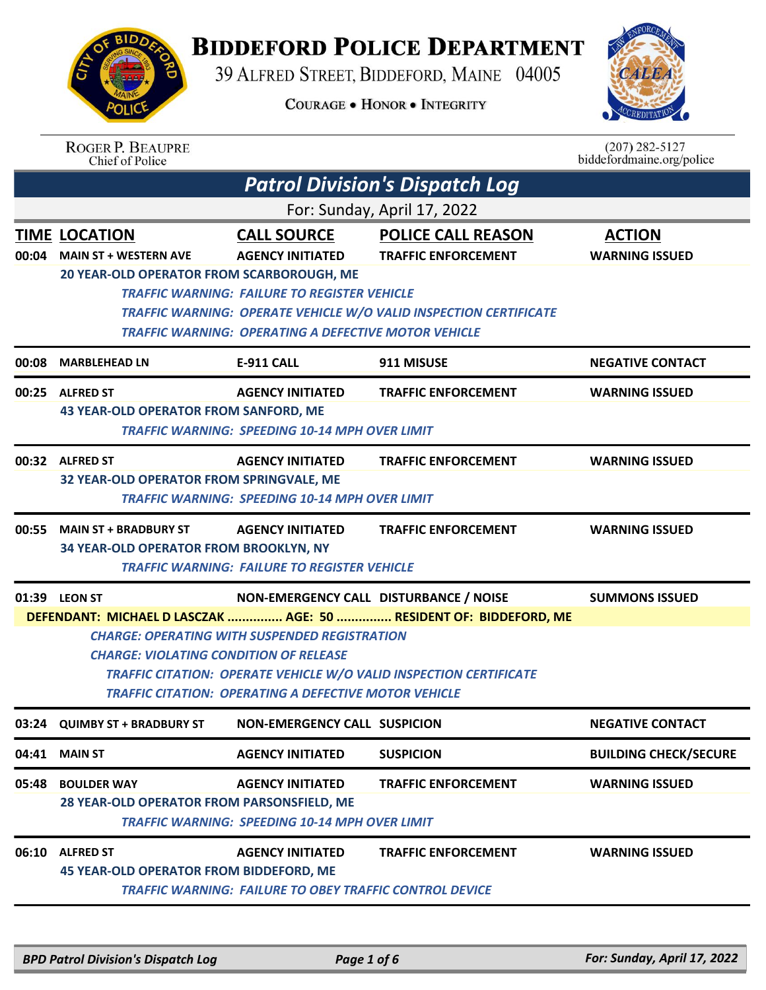

## **BIDDEFORD POLICE DEPARTMENT**

39 ALFRED STREET, BIDDEFORD, MAINE 04005

**COURAGE . HONOR . INTEGRITY** 



|       | <b>ROGER P. BEAUPRE</b><br>Chief of Police     |                                                                |                                                                           | $(207)$ 282-5127<br>biddefordmaine.org/police |
|-------|------------------------------------------------|----------------------------------------------------------------|---------------------------------------------------------------------------|-----------------------------------------------|
|       |                                                |                                                                | <b>Patrol Division's Dispatch Log</b>                                     |                                               |
|       |                                                |                                                                | For: Sunday, April 17, 2022                                               |                                               |
|       | <b>TIME LOCATION</b>                           | <b>CALL SOURCE</b>                                             | <b>POLICE CALL REASON</b>                                                 | <b>ACTION</b>                                 |
| 00:04 | <b>MAIN ST + WESTERN AVE</b>                   | <b>AGENCY INITIATED</b>                                        | <b>TRAFFIC ENFORCEMENT</b>                                                | <b>WARNING ISSUED</b>                         |
|       | 20 YEAR-OLD OPERATOR FROM SCARBOROUGH, ME      |                                                                |                                                                           |                                               |
|       |                                                | <b>TRAFFIC WARNING: FAILURE TO REGISTER VEHICLE</b>            | TRAFFIC WARNING: OPERATE VEHICLE W/O VALID INSPECTION CERTIFICATE         |                                               |
|       |                                                | <b>TRAFFIC WARNING: OPERATING A DEFECTIVE MOTOR VEHICLE</b>    |                                                                           |                                               |
| 00:08 | <b>MARBLEHEAD LN</b>                           | <b>E-911 CALL</b>                                              | 911 MISUSE                                                                | <b>NEGATIVE CONTACT</b>                       |
| 00:25 | <b>ALFRED ST</b>                               | <b>AGENCY INITIATED</b>                                        | <b>TRAFFIC ENFORCEMENT</b>                                                | <b>WARNING ISSUED</b>                         |
|       | <b>43 YEAR-OLD OPERATOR FROM SANFORD, ME</b>   |                                                                |                                                                           |                                               |
|       |                                                | <b>TRAFFIC WARNING: SPEEDING 10-14 MPH OVER LIMIT</b>          |                                                                           |                                               |
|       | 00:32 ALFRED ST                                | <b>AGENCY INITIATED</b>                                        | <b>TRAFFIC ENFORCEMENT</b>                                                | <b>WARNING ISSUED</b>                         |
|       | 32 YEAR-OLD OPERATOR FROM SPRINGVALE, ME       |                                                                |                                                                           |                                               |
|       |                                                | <b>TRAFFIC WARNING: SPEEDING 10-14 MPH OVER LIMIT</b>          |                                                                           |                                               |
| 00:55 | <b>MAIN ST + BRADBURY ST</b>                   | <b>AGENCY INITIATED</b>                                        | <b>TRAFFIC ENFORCEMENT</b>                                                | <b>WARNING ISSUED</b>                         |
|       | 34 YEAR-OLD OPERATOR FROM BROOKLYN, NY         |                                                                |                                                                           |                                               |
|       |                                                | <b>TRAFFIC WARNING: FAILURE TO REGISTER VEHICLE</b>            |                                                                           |                                               |
|       | 01:39 LEON ST                                  |                                                                | NON-EMERGENCY CALL DISTURBANCE / NOISE                                    | <b>SUMMONS ISSUED</b>                         |
|       |                                                |                                                                | DEFENDANT: MICHAEL D LASCZAK  AGE: 50  RESIDENT OF: BIDDEFORD, ME         |                                               |
|       | <b>CHARGE: VIOLATING CONDITION OF RELEASE</b>  | <b>CHARGE: OPERATING WITH SUSPENDED REGISTRATION</b>           |                                                                           |                                               |
|       |                                                |                                                                | <b>TRAFFIC CITATION: OPERATE VEHICLE W/O VALID INSPECTION CERTIFICATE</b> |                                               |
|       |                                                | <b>TRAFFIC CITATION: OPERATING A DEFECTIVE MOTOR VEHICLE</b>   |                                                                           |                                               |
|       | 03:24 QUIMBY ST + BRADBURY ST                  | <b>NON-EMERGENCY CALL SUSPICION</b>                            |                                                                           | <b>NEGATIVE CONTACT</b>                       |
| 04:41 | <b>MAIN ST</b>                                 | <b>AGENCY INITIATED</b>                                        | <b>SUSPICION</b>                                                          | <b>BUILDING CHECK/SECURE</b>                  |
| 05:48 | <b>BOULDER WAY</b>                             | <b>AGENCY INITIATED</b>                                        | <b>TRAFFIC ENFORCEMENT</b>                                                | <b>WARNING ISSUED</b>                         |
|       | 28 YEAR-OLD OPERATOR FROM PARSONSFIELD, ME     |                                                                |                                                                           |                                               |
|       |                                                | <b>TRAFFIC WARNING: SPEEDING 10-14 MPH OVER LIMIT</b>          |                                                                           |                                               |
| 06:10 | <b>ALFRED ST</b>                               | <b>AGENCY INITIATED</b>                                        | <b>TRAFFIC ENFORCEMENT</b>                                                | <b>WARNING ISSUED</b>                         |
|       | <b>45 YEAR-OLD OPERATOR FROM BIDDEFORD, ME</b> |                                                                |                                                                           |                                               |
|       |                                                | <b>TRAFFIC WARNING: FAILURE TO OBEY TRAFFIC CONTROL DEVICE</b> |                                                                           |                                               |

*BPD Patrol Division's Dispatch Log Page 1 of 6 For: Sunday, April 17, 2022*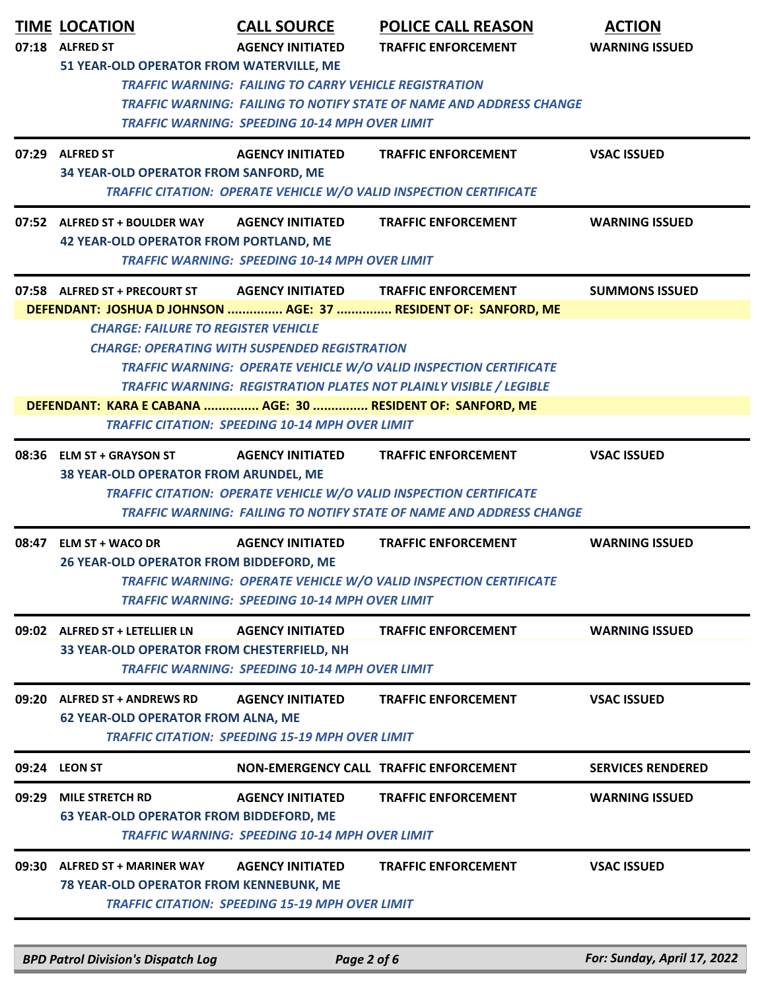|       | <b>TIME LOCATION</b><br>07:18 ALFRED ST<br>51 YEAR-OLD OPERATOR FROM WATERVILLE, ME                       | <b>CALL SOURCE</b><br><b>AGENCY INITIATED</b>                                                                          | <b>POLICE CALL REASON</b><br><b>TRAFFIC ENFORCEMENT</b>                                                                                                                        | <b>ACTION</b><br><b>WARNING ISSUED</b> |
|-------|-----------------------------------------------------------------------------------------------------------|------------------------------------------------------------------------------------------------------------------------|--------------------------------------------------------------------------------------------------------------------------------------------------------------------------------|----------------------------------------|
|       |                                                                                                           | <b>TRAFFIC WARNING: FAILING TO CARRY VEHICLE REGISTRATION</b><br><b>TRAFFIC WARNING: SPEEDING 10-14 MPH OVER LIMIT</b> | <b>TRAFFIC WARNING: FAILING TO NOTIFY STATE OF NAME AND ADDRESS CHANGE</b>                                                                                                     |                                        |
|       | 07:29 ALFRED ST<br><b>34 YEAR-OLD OPERATOR FROM SANFORD, ME</b>                                           | <b>AGENCY INITIATED</b>                                                                                                | <b>TRAFFIC ENFORCEMENT</b><br>TRAFFIC CITATION: OPERATE VEHICLE W/O VALID INSPECTION CERTIFICATE                                                                               | <b>VSAC ISSUED</b>                     |
|       | 07:52 ALFRED ST + BOULDER WAY<br><b>42 YEAR-OLD OPERATOR FROM PORTLAND, ME</b>                            | <b>AGENCY INITIATED</b><br><b>TRAFFIC WARNING: SPEEDING 10-14 MPH OVER LIMIT</b>                                       | <b>TRAFFIC ENFORCEMENT</b>                                                                                                                                                     | <b>WARNING ISSUED</b>                  |
|       | 07:58 ALFRED ST + PRECOURT ST                                                                             |                                                                                                                        | AGENCY INITIATED TRAFFIC ENFORCEMENT<br>DEFENDANT: JOSHUA D JOHNSON  AGE: 37  RESIDENT OF: SANFORD, ME                                                                         | <b>SUMMONS ISSUED</b>                  |
|       | <b>CHARGE: FAILURE TO REGISTER VEHICLE</b><br>DEFENDANT: KARA E CABANA  AGE: 30  RESIDENT OF: SANFORD, ME | <b>CHARGE: OPERATING WITH SUSPENDED REGISTRATION</b><br><b>TRAFFIC CITATION: SPEEDING 10-14 MPH OVER LIMIT</b>         | <b>TRAFFIC WARNING: OPERATE VEHICLE W/O VALID INSPECTION CERTIFICATE</b><br>TRAFFIC WARNING: REGISTRATION PLATES NOT PLAINLY VISIBLE / LEGIBLE                                 |                                        |
|       | 08:36 ELM ST + GRAYSON ST<br>38 YEAR-OLD OPERATOR FROM ARUNDEL, ME                                        | <b>AGENCY INITIATED</b>                                                                                                | <b>TRAFFIC ENFORCEMENT</b><br>TRAFFIC CITATION: OPERATE VEHICLE W/O VALID INSPECTION CERTIFICATE<br><b>TRAFFIC WARNING: FAILING TO NOTIFY STATE OF NAME AND ADDRESS CHANGE</b> | <b>VSAC ISSUED</b>                     |
| 08:47 | <b>ELM ST + WACO DR</b><br>26 YEAR-OLD OPERATOR FROM BIDDEFORD, ME                                        | <b>AGENCY INITIATED</b><br><b>TRAFFIC WARNING: SPEEDING 10-14 MPH OVER LIMIT</b>                                       | <b>TRAFFIC ENFORCEMENT</b><br>TRAFFIC WARNING: OPERATE VEHICLE W/O VALID INSPECTION CERTIFICATE                                                                                | <b>WARNING ISSUED</b>                  |
|       | 09:02 ALFRED ST + LETELLIER LN<br>33 YEAR-OLD OPERATOR FROM CHESTERFIELD, NH                              | <b>AGENCY INITIATED</b><br><b>TRAFFIC WARNING: SPEEDING 10-14 MPH OVER LIMIT</b>                                       | <b>TRAFFIC ENFORCEMENT</b>                                                                                                                                                     | <b>WARNING ISSUED</b>                  |
| 09:20 | <b>ALFRED ST + ANDREWS RD</b><br><b>62 YEAR-OLD OPERATOR FROM ALNA, ME</b>                                | <b>AGENCY INITIATED</b><br><b>TRAFFIC CITATION: SPEEDING 15-19 MPH OVER LIMIT</b>                                      | <b>TRAFFIC ENFORCEMENT</b>                                                                                                                                                     | <b>VSAC ISSUED</b>                     |
|       | 09:24 LEON ST                                                                                             |                                                                                                                        | NON-EMERGENCY CALL TRAFFIC ENFORCEMENT                                                                                                                                         | <b>SERVICES RENDERED</b>               |
| 09:29 | <b>MILE STRETCH RD</b><br><b>63 YEAR-OLD OPERATOR FROM BIDDEFORD, ME</b>                                  | <b>AGENCY INITIATED</b><br><b>TRAFFIC WARNING: SPEEDING 10-14 MPH OVER LIMIT</b>                                       | <b>TRAFFIC ENFORCEMENT</b>                                                                                                                                                     | <b>WARNING ISSUED</b>                  |
| 09:30 | <b>ALFRED ST + MARINER WAY</b>                                                                            | <b>AGENCY INITIATED</b>                                                                                                | <b>TRAFFIC ENFORCEMENT</b>                                                                                                                                                     | <b>VSAC ISSUED</b>                     |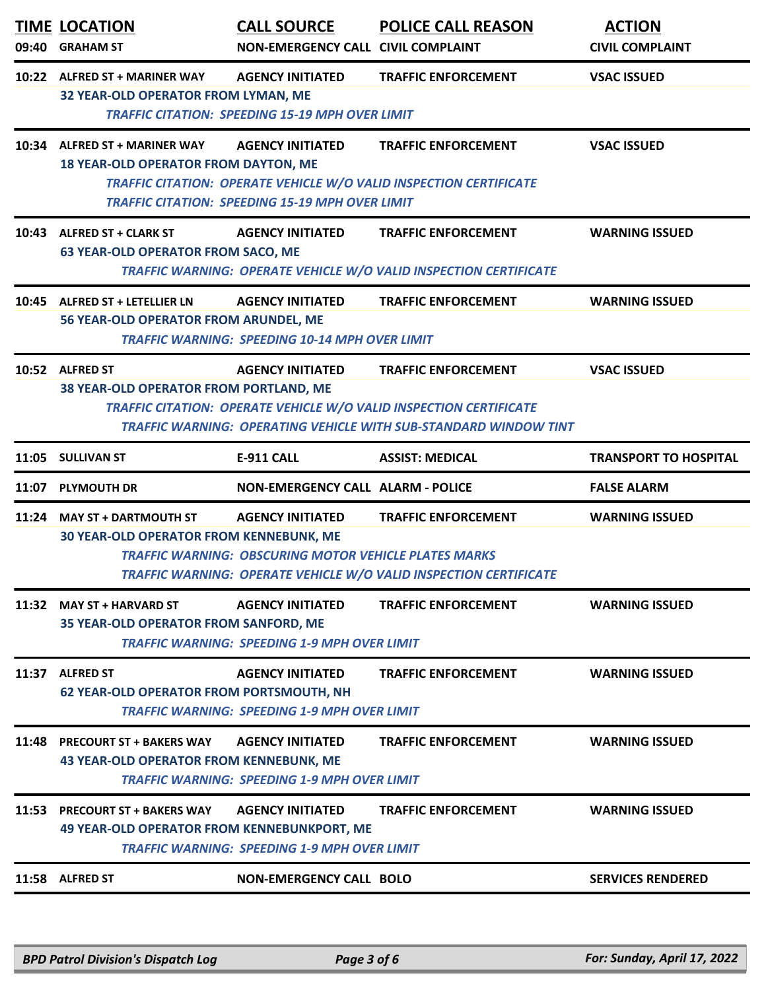|       | <b>TIME LOCATION</b><br>09:40 GRAHAM ST                                              | <b>CALL SOURCE</b><br><b>NON-EMERGENCY CALL CIVIL COMPLAINT</b>                         | <b>POLICE CALL REASON</b>                                                                                                                                            | <b>ACTION</b><br><b>CIVIL COMPLAINT</b> |
|-------|--------------------------------------------------------------------------------------|-----------------------------------------------------------------------------------------|----------------------------------------------------------------------------------------------------------------------------------------------------------------------|-----------------------------------------|
|       | 10:22 ALFRED ST + MARINER WAY<br><b>32 YEAR-OLD OPERATOR FROM LYMAN, ME</b>          | <b>AGENCY INITIATED</b><br><b>TRAFFIC CITATION: SPEEDING 15-19 MPH OVER LIMIT</b>       | <b>TRAFFIC ENFORCEMENT</b>                                                                                                                                           | <b>VSAC ISSUED</b>                      |
|       | 10:34 ALFRED ST + MARINER WAY<br><b>18 YEAR-OLD OPERATOR FROM DAYTON, ME</b>         | <b>AGENCY INITIATED</b><br><b>TRAFFIC CITATION: SPEEDING 15-19 MPH OVER LIMIT</b>       | <b>TRAFFIC ENFORCEMENT</b><br>TRAFFIC CITATION: OPERATE VEHICLE W/O VALID INSPECTION CERTIFICATE                                                                     | <b>VSAC ISSUED</b>                      |
|       | 10:43 ALFRED ST + CLARK ST<br><b>63 YEAR-OLD OPERATOR FROM SACO, ME</b>              | <b>AGENCY INITIATED</b>                                                                 | <b>TRAFFIC ENFORCEMENT</b><br>TRAFFIC WARNING: OPERATE VEHICLE W/O VALID INSPECTION CERTIFICATE                                                                      | <b>WARNING ISSUED</b>                   |
|       | 10:45 ALFRED ST + LETELLIER LN<br>56 YEAR-OLD OPERATOR FROM ARUNDEL, ME              | <b>AGENCY INITIATED</b><br><b>TRAFFIC WARNING: SPEEDING 10-14 MPH OVER LIMIT</b>        | <b>TRAFFIC ENFORCEMENT</b>                                                                                                                                           | <b>WARNING ISSUED</b>                   |
|       | 10:52 ALFRED ST<br>38 YEAR-OLD OPERATOR FROM PORTLAND, ME                            | <b>AGENCY INITIATED</b>                                                                 | <b>TRAFFIC ENFORCEMENT</b><br>TRAFFIC CITATION: OPERATE VEHICLE W/O VALID INSPECTION CERTIFICATE<br>TRAFFIC WARNING: OPERATING VEHICLE WITH SUB-STANDARD WINDOW TINT | <b>VSAC ISSUED</b>                      |
|       | 11:05 SULLIVAN ST                                                                    | <b>E-911 CALL</b>                                                                       | <b>ASSIST: MEDICAL</b>                                                                                                                                               | <b>TRANSPORT TO HOSPITAL</b>            |
| 11:07 | <b>PLYMOUTH DR</b>                                                                   | <b>NON-EMERGENCY CALL ALARM - POLICE</b>                                                |                                                                                                                                                                      | <b>FALSE ALARM</b>                      |
|       | 11:24 MAY ST + DARTMOUTH ST<br><b>30 YEAR-OLD OPERATOR FROM KENNEBUNK, ME</b>        | <b>AGENCY INITIATED</b><br><b>TRAFFIC WARNING: OBSCURING MOTOR VEHICLE PLATES MARKS</b> | <b>TRAFFIC ENFORCEMENT</b><br>TRAFFIC WARNING: OPERATE VEHICLE W/O VALID INSPECTION CERTIFICATE                                                                      | <b>WARNING ISSUED</b>                   |
| 11:32 | <b>MAY ST + HARVARD ST</b><br>35 YEAR-OLD OPERATOR FROM SANFORD, ME                  | <b>AGENCY INITIATED</b><br><b>TRAFFIC WARNING: SPEEDING 1-9 MPH OVER LIMIT</b>          | <b>TRAFFIC ENFORCEMENT</b>                                                                                                                                           | <b>WARNING ISSUED</b>                   |
|       | 11:37 ALFRED ST<br><b>62 YEAR-OLD OPERATOR FROM PORTSMOUTH, NH</b>                   | <b>AGENCY INITIATED</b><br><b>TRAFFIC WARNING: SPEEDING 1-9 MPH OVER LIMIT</b>          | <b>TRAFFIC ENFORCEMENT</b>                                                                                                                                           | <b>WARNING ISSUED</b>                   |
| 11:48 | <b>PRECOURT ST + BAKERS WAY</b><br><b>43 YEAR-OLD OPERATOR FROM KENNEBUNK, ME</b>    | <b>AGENCY INITIATED</b>                                                                 | <b>TRAFFIC ENFORCEMENT</b>                                                                                                                                           | <b>WARNING ISSUED</b>                   |
|       | <b>TRAFFIC WARNING: SPEEDING 1-9 MPH OVER LIMIT</b>                                  |                                                                                         |                                                                                                                                                                      |                                         |
|       | 11:53 PRECOURT ST + BAKERS WAY<br><b>49 YEAR-OLD OPERATOR FROM KENNEBUNKPORT, ME</b> | <b>AGENCY INITIATED</b><br><b>TRAFFIC WARNING: SPEEDING 1-9 MPH OVER LIMIT</b>          | <b>TRAFFIC ENFORCEMENT</b>                                                                                                                                           | <b>WARNING ISSUED</b>                   |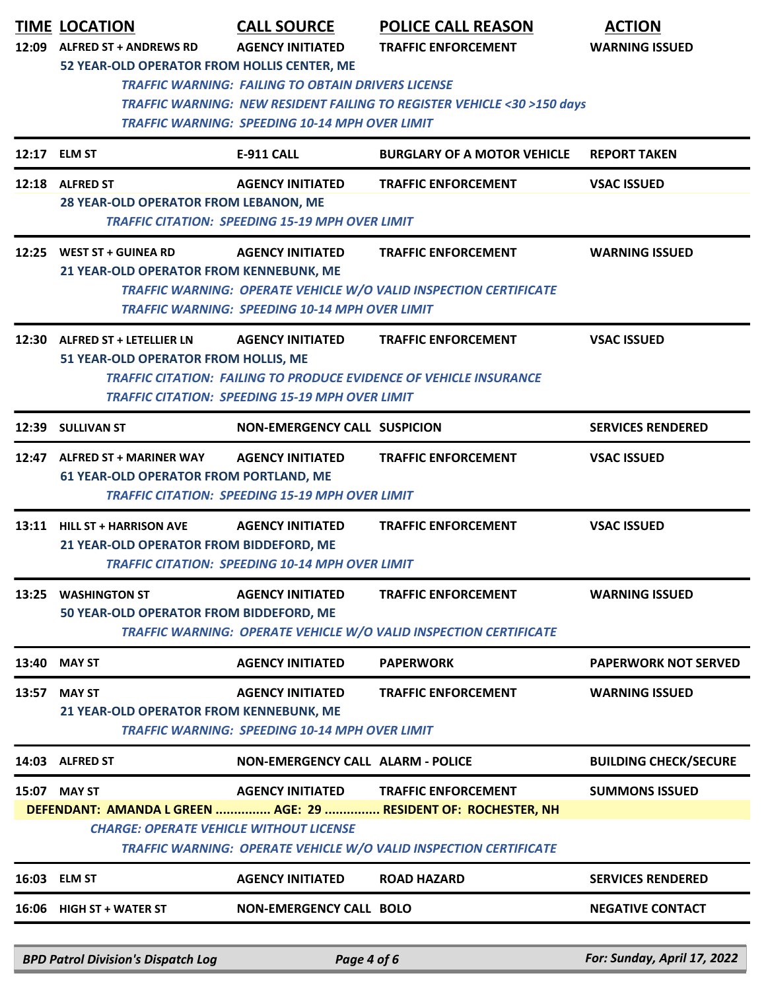|       | <b>TIME LOCATION</b><br>12:09 ALFRED ST + ANDREWS RD                           | <b>CALL SOURCE</b><br><b>AGENCY INITIATED</b>                                                                      | <b>POLICE CALL REASON</b><br><b>TRAFFIC ENFORCEMENT</b>                                                                                                           | <b>ACTION</b><br><b>WARNING ISSUED</b> |
|-------|--------------------------------------------------------------------------------|--------------------------------------------------------------------------------------------------------------------|-------------------------------------------------------------------------------------------------------------------------------------------------------------------|----------------------------------------|
|       | 52 YEAR-OLD OPERATOR FROM HOLLIS CENTER, ME                                    | <b>TRAFFIC WARNING: FAILING TO OBTAIN DRIVERS LICENSE</b><br><b>TRAFFIC WARNING: SPEEDING 10-14 MPH OVER LIMIT</b> | <b>TRAFFIC WARNING: NEW RESIDENT FAILING TO REGISTER VEHICLE &lt;30 &gt;150 days</b>                                                                              |                                        |
|       | 12:17 ELM ST                                                                   | <b>E-911 CALL</b>                                                                                                  | <b>BURGLARY OF A MOTOR VEHICLE</b>                                                                                                                                | <b>REPORT TAKEN</b>                    |
|       | 12:18 ALFRED ST<br>28 YEAR-OLD OPERATOR FROM LEBANON, ME                       | <b>AGENCY INITIATED</b><br><b>TRAFFIC CITATION: SPEEDING 15-19 MPH OVER LIMIT</b>                                  | <b>TRAFFIC ENFORCEMENT</b>                                                                                                                                        | <b>VSAC ISSUED</b>                     |
|       | 12:25 WEST ST + GUINEA RD<br>21 YEAR-OLD OPERATOR FROM KENNEBUNK, ME           | <b>AGENCY INITIATED</b><br><b>TRAFFIC WARNING: SPEEDING 10-14 MPH OVER LIMIT</b>                                   | <b>TRAFFIC ENFORCEMENT</b><br>TRAFFIC WARNING: OPERATE VEHICLE W/O VALID INSPECTION CERTIFICATE                                                                   | <b>WARNING ISSUED</b>                  |
|       | 12:30 ALFRED ST + LETELLIER LN<br>51 YEAR-OLD OPERATOR FROM HOLLIS, ME         | <b>AGENCY INITIATED</b><br><b>TRAFFIC CITATION: SPEEDING 15-19 MPH OVER LIMIT</b>                                  | <b>TRAFFIC ENFORCEMENT</b><br><b>TRAFFIC CITATION: FAILING TO PRODUCE EVIDENCE OF VEHICLE INSURANCE</b>                                                           | <b>VSAC ISSUED</b>                     |
|       | 12:39 SULLIVAN ST                                                              | <b>NON-EMERGENCY CALL SUSPICION</b>                                                                                |                                                                                                                                                                   | <b>SERVICES RENDERED</b>               |
|       | 12:47 ALFRED ST + MARINER WAY<br><b>61 YEAR-OLD OPERATOR FROM PORTLAND, ME</b> | <b>AGENCY INITIATED</b><br><b>TRAFFIC CITATION: SPEEDING 15-19 MPH OVER LIMIT</b>                                  | <b>TRAFFIC ENFORCEMENT</b>                                                                                                                                        | <b>VSAC ISSUED</b>                     |
|       | 13:11 HILL ST + HARRISON AVE<br>21 YEAR-OLD OPERATOR FROM BIDDEFORD, ME        | <b>AGENCY INITIATED</b><br><b>TRAFFIC CITATION: SPEEDING 10-14 MPH OVER LIMIT</b>                                  | <b>TRAFFIC ENFORCEMENT</b>                                                                                                                                        | <b>VSAC ISSUED</b>                     |
| 13:25 | <b>WASHINGTON ST</b><br>50 YEAR-OLD OPERATOR FROM BIDDEFORD, ME                | <b>AGENCY INITIATED</b>                                                                                            | <b>TRAFFIC ENFORCEMENT</b><br>TRAFFIC WARNING: OPERATE VEHICLE W/O VALID INSPECTION CERTIFICATE                                                                   | <b>WARNING ISSUED</b>                  |
| 13:40 | <b>MAY ST</b>                                                                  | <b>AGENCY INITIATED</b>                                                                                            | <b>PAPERWORK</b>                                                                                                                                                  | <b>PAPERWORK NOT SERVED</b>            |
| 13:57 | <b>MAY ST</b><br>21 YEAR-OLD OPERATOR FROM KENNEBUNK, ME                       | <b>AGENCY INITIATED</b><br><b>TRAFFIC WARNING: SPEEDING 10-14 MPH OVER LIMIT</b>                                   | <b>TRAFFIC ENFORCEMENT</b>                                                                                                                                        | <b>WARNING ISSUED</b>                  |
| 14:03 | <b>ALFRED ST</b>                                                               | <b>NON-EMERGENCY CALL ALARM - POLICE</b>                                                                           |                                                                                                                                                                   | <b>BUILDING CHECK/SECURE</b>           |
|       | 15:07 MAY ST<br><b>CHARGE: OPERATE VEHICLE WITHOUT LICENSE</b>                 | <b>AGENCY INITIATED</b>                                                                                            | <b>TRAFFIC ENFORCEMENT</b><br>DEFENDANT: AMANDA L GREEN  AGE: 29  RESIDENT OF: ROCHESTER, NH<br>TRAFFIC WARNING: OPERATE VEHICLE W/O VALID INSPECTION CERTIFICATE | <b>SUMMONS ISSUED</b>                  |
|       | 16:03 ELM ST                                                                   | <b>AGENCY INITIATED</b>                                                                                            | <b>ROAD HAZARD</b>                                                                                                                                                | <b>SERVICES RENDERED</b>               |
|       | 16:06 HIGH ST + WATER ST                                                       | <b>NON-EMERGENCY CALL BOLO</b>                                                                                     |                                                                                                                                                                   | <b>NEGATIVE CONTACT</b>                |
|       |                                                                                |                                                                                                                    |                                                                                                                                                                   |                                        |
|       | <b>BPD Patrol Division's Dispatch Log</b>                                      | Page 4 of 6                                                                                                        |                                                                                                                                                                   | For: Sunday, April 17, 2022            |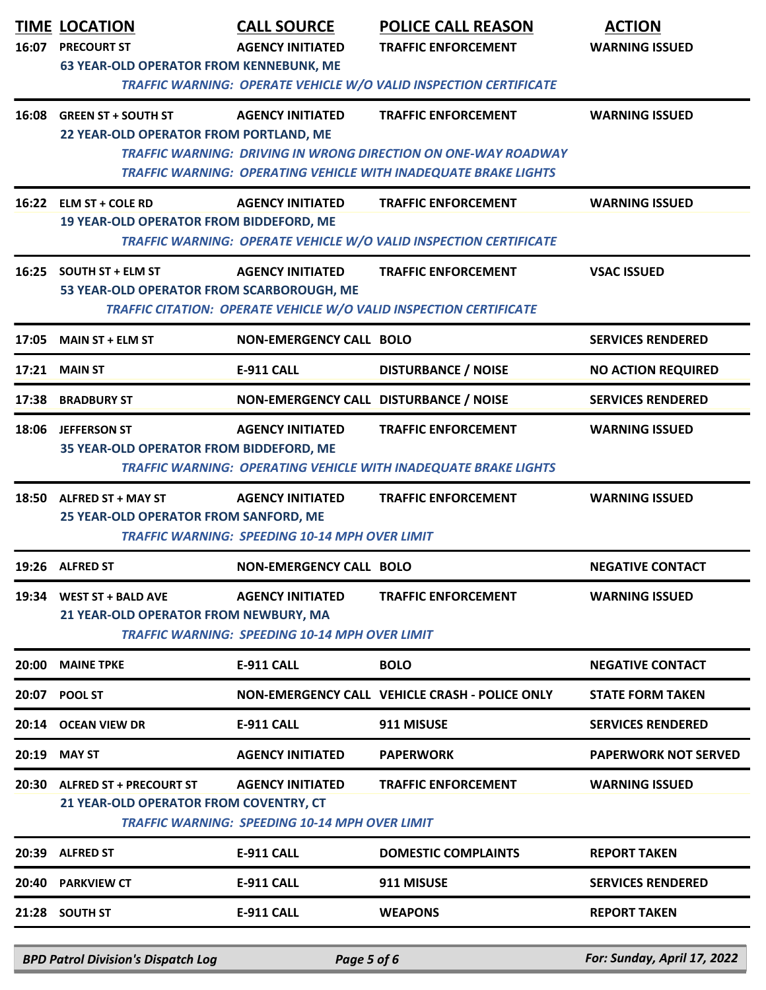| 16:07 | <b>TIME LOCATION</b><br><b>PRECOURT ST</b><br><b>63 YEAR-OLD OPERATOR FROM KENNEBUNK, ME</b> | <b>CALL SOURCE</b><br><b>AGENCY INITIATED</b>                                    | <b>POLICE CALL REASON</b><br><b>TRAFFIC ENFORCEMENT</b>                                                                                                                | <b>ACTION</b><br><b>WARNING ISSUED</b> |
|-------|----------------------------------------------------------------------------------------------|----------------------------------------------------------------------------------|------------------------------------------------------------------------------------------------------------------------------------------------------------------------|----------------------------------------|
|       |                                                                                              |                                                                                  | <b>TRAFFIC WARNING: OPERATE VEHICLE W/O VALID INSPECTION CERTIFICATE</b>                                                                                               |                                        |
|       | 16:08 GREEN ST + SOUTH ST<br>22 YEAR-OLD OPERATOR FROM PORTLAND, ME                          | <b>AGENCY INITIATED</b>                                                          | <b>TRAFFIC ENFORCEMENT</b><br><b>TRAFFIC WARNING: DRIVING IN WRONG DIRECTION ON ONE-WAY ROADWAY</b><br>TRAFFIC WARNING: OPERATING VEHICLE WITH INADEQUATE BRAKE LIGHTS | <b>WARNING ISSUED</b>                  |
|       | 16:22 ELM ST + COLE RD<br><b>19 YEAR-OLD OPERATOR FROM BIDDEFORD, ME</b>                     | <b>AGENCY INITIATED</b>                                                          | <b>TRAFFIC ENFORCEMENT</b><br>TRAFFIC WARNING: OPERATE VEHICLE W/O VALID INSPECTION CERTIFICATE                                                                        | <b>WARNING ISSUED</b>                  |
|       | 16:25 SOUTH ST + ELM ST<br>53 YEAR-OLD OPERATOR FROM SCARBOROUGH, ME                         | <b>AGENCY INITIATED</b>                                                          | <b>TRAFFIC ENFORCEMENT</b><br>TRAFFIC CITATION: OPERATE VEHICLE W/O VALID INSPECTION CERTIFICATE                                                                       | <b>VSAC ISSUED</b>                     |
|       | 17:05 MAIN ST + ELM ST                                                                       | <b>NON-EMERGENCY CALL BOLO</b>                                                   |                                                                                                                                                                        | <b>SERVICES RENDERED</b>               |
| 17:21 | <b>MAIN ST</b>                                                                               | <b>E-911 CALL</b>                                                                | <b>DISTURBANCE / NOISE</b>                                                                                                                                             | <b>NO ACTION REQUIRED</b>              |
|       | 17:38 BRADBURY ST                                                                            | NON-EMERGENCY CALL DISTURBANCE / NOISE                                           |                                                                                                                                                                        | <b>SERVICES RENDERED</b>               |
|       | 18:06 JEFFERSON ST<br>35 YEAR-OLD OPERATOR FROM BIDDEFORD, ME                                | <b>AGENCY INITIATED</b>                                                          | <b>TRAFFIC ENFORCEMENT</b><br><b>TRAFFIC WARNING: OPERATING VEHICLE WITH INADEQUATE BRAKE LIGHTS</b>                                                                   | <b>WARNING ISSUED</b>                  |
|       | 18:50 ALFRED ST + MAY ST<br>25 YEAR-OLD OPERATOR FROM SANFORD, ME                            | <b>AGENCY INITIATED</b><br><b>TRAFFIC WARNING: SPEEDING 10-14 MPH OVER LIMIT</b> | <b>TRAFFIC ENFORCEMENT</b>                                                                                                                                             | <b>WARNING ISSUED</b>                  |
|       | 19:26 ALFRED ST                                                                              | <b>NON-EMERGENCY CALL BOLO</b>                                                   |                                                                                                                                                                        | <b>NEGATIVE CONTACT</b>                |
| 19:34 | <b>WEST ST + BALD AVE</b><br>21 YEAR-OLD OPERATOR FROM NEWBURY, MA                           | <b>AGENCY INITIATED</b><br><b>TRAFFIC WARNING: SPEEDING 10-14 MPH OVER LIMIT</b> | <b>TRAFFIC ENFORCEMENT</b>                                                                                                                                             | <b>WARNING ISSUED</b>                  |
| 20:00 | <b>MAINE TPKE</b>                                                                            | <b>E-911 CALL</b>                                                                | <b>BOLO</b>                                                                                                                                                            | <b>NEGATIVE CONTACT</b>                |
| 20:07 | <b>POOL ST</b>                                                                               |                                                                                  | NON-EMERGENCY CALL VEHICLE CRASH - POLICE ONLY                                                                                                                         | <b>STATE FORM TAKEN</b>                |
| 20:14 | <b>OCEAN VIEW DR</b>                                                                         | <b>E-911 CALL</b>                                                                | 911 MISUSE                                                                                                                                                             | <b>SERVICES RENDERED</b>               |
| 20:19 | <b>MAY ST</b>                                                                                | <b>AGENCY INITIATED</b>                                                          | <b>PAPERWORK</b>                                                                                                                                                       | <b>PAPERWORK NOT SERVED</b>            |
| 20:30 | <b>ALFRED ST + PRECOURT ST</b><br>21 YEAR-OLD OPERATOR FROM COVENTRY, CT                     | <b>AGENCY INITIATED</b><br><b>TRAFFIC WARNING: SPEEDING 10-14 MPH OVER LIMIT</b> | <b>TRAFFIC ENFORCEMENT</b>                                                                                                                                             | <b>WARNING ISSUED</b>                  |
| 20:39 | <b>ALFRED ST</b>                                                                             | <b>E-911 CALL</b>                                                                | <b>DOMESTIC COMPLAINTS</b>                                                                                                                                             | <b>REPORT TAKEN</b>                    |
| 20:40 | <b>PARKVIEW CT</b>                                                                           | <b>E-911 CALL</b>                                                                | 911 MISUSE                                                                                                                                                             | <b>SERVICES RENDERED</b>               |
| 21:28 | <b>SOUTH ST</b>                                                                              | <b>E-911 CALL</b>                                                                | <b>WEAPONS</b>                                                                                                                                                         | <b>REPORT TAKEN</b>                    |
|       | <b>BPD Patrol Division's Dispatch Log</b>                                                    | Page 5 of 6                                                                      |                                                                                                                                                                        | For: Sunday, April 17, 2022            |